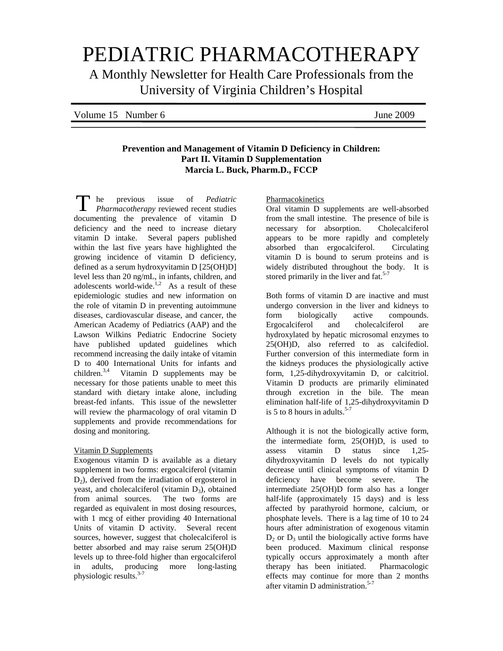# PEDIATRIC PHARMACOTHERAPY

A Monthly Newsletter for Health Care Professionals from the University of Virginia Children's Hospital

| Volume 15 Number 6 | June 2009 |
|--------------------|-----------|
|                    |           |

## **Prevention and Management of Vitamin D Deficiency in Children: Part II. Vitamin D Supplementation Marcia L. Buck, Pharm.D., FCCP**

he previous issue of *Pediatric Pharmacotherapy* reviewed recent studies documenting the prevalence of vitamin D deficiency and the need to increase dietary vitamin D intake. Several papers published within the last five years have highlighted the growing incidence of vitamin D deficiency, defined as a serum hydroxyvitamin D [25(OH)D] level less than 20 ng/mL, in infants, children, and adolescents world-wide. $\frac{1}{2}$  As a result of these epidemiologic studies and new information on the role of vitamin D in preventing autoimmune diseases, cardiovascular disease, and cancer, the American Academy of Pediatrics (AAP) and the Lawson Wilkins Pediatric Endocrine Society have published updated guidelines which recommend increasing the daily intake of vitamin D to 400 International Units for infants and children.<sup>3,4</sup> Vitamin D supplements may be necessary for those patients unable to meet this standard with dietary intake alone, including breast-fed infants. This issue of the newsletter will review the pharmacology of oral vitamin D supplements and provide recommendations for dosing and monitoring. T

## Vitamin D Supplements

Exogenous vitamin D is available as a dietary supplement in two forms: ergocalciferol (vitamin  $D<sub>2</sub>$ ), derived from the irradiation of ergosterol in yeast, and cholecalciferol (vitamin  $D_3$ ), obtained from animal sources. The two forms are regarded as equivalent in most dosing resources, with 1 mcg of either providing 40 International Units of vitamin D activity. Several recent sources, however, suggest that cholecalciferol is better absorbed and may raise serum 25(OH)D levels up to three-fold higher than ergocalciferol in adults, producing more long-lasting physiologic results. 3-7

Pharmacokinetics

Oral vitamin D supplements are well-absorbed from the small intestine. The presence of bile is necessary for absorption. Cholecalciferol appears to be more rapidly and completely absorbed than ergocalciferol. Circulating vitamin D is bound to serum proteins and is widely distributed throughout the body. It is stored primarily in the liver and fat.<sup>5-7</sup>

Both forms of vitamin D are inactive and must undergo conversion in the liver and kidneys to form biologically active compounds. Ergocalciferol and cholecalciferol are hydroxylated by hepatic microsomal enzymes to 25(OH)D, also referred to as calcifediol. Further conversion of this intermediate form in the kidneys produces the physiologically active form, 1,25-dihydroxyvitamin D, or calcitriol. Vitamin D products are primarily eliminated through excretion in the bile. The mean elimination half-life of 1,25-dihydroxyvitamin D is 5 to 8 hours in adults. 5-7

Although it is not the biologically active form, the intermediate form, 25(OH)D, is used to assess vitamin D status since 1,25 dihydroxyvitamin D levels do not typically decrease until clinical symptoms of vitamin D deficiency have become severe. The intermediate 25(OH)D form also has a longer half-life (approximately 15 days) and is less affected by parathyroid hormone, calcium, or phosphate levels. There is a lag time of 10 to 24 hours after administration of exogenous vitamin  $D_2$  or  $D_3$  until the biologically active forms have been produced. Maximum clinical response typically occurs approximately a month after therapy has been initiated. Pharmacologic effects may continue for more than 2 months after vitamin D administration.<sup>5-7</sup>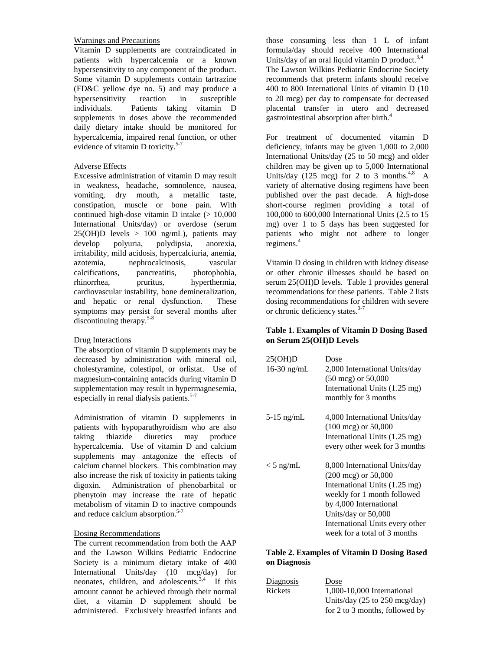## Warnings and Precautions

Vitamin D supplements are contraindicated in patients with hypercalcemia or a known hypersensitivity to any component of the product. Some vitamin D supplements contain tartrazine (FD&C yellow dye no. 5) and may produce a hypersensitivity reaction in susceptible individuals. Patients taking vitamin D supplements in doses above the recommended daily dietary intake should be monitored for hypercalcemia, impaired renal function, or other evidence of vitamin D toxicity.<sup>5-7</sup>

## Adverse Effects

Excessive administration of vitamin D may result in weakness, headache, somnolence, nausea, vomiting, dry mouth, a metallic taste, constipation, muscle or bone pain. With continued high-dose vitamin D intake  $(>10,000)$ International Units/day) or overdose (serum  $25(OH)D$  levels > 100 ng/mL), patients may develop polyuria, polydipsia, anorexia, irritability, mild acidosis, hypercalciuria, anemia, azotemia, nephrocalcinosis, vascular calcifications, pancreatitis, photophobia, rhinorrhea, pruritus, hyperthermia, cardiovascular instability, bone demineralization, and hepatic or renal dysfunction. These symptoms may persist for several months after discontinuing therapy. 5-8

#### Drug Interactions

The absorption of vitamin D supplements may be decreased by administration with mineral oil, cholestyramine, colestipol, or orlistat. Use of magnesium-containing antacids during vitamin D supplementation may result in hypermagnesemia, especially in renal dialysis patients.<sup>5-7</sup>

Administration of vitamin D supplements in patients with hypoparathyroidism who are also taking thiazide diuretics may produce hypercalcemia. Use of vitamin D and calcium supplements may antagonize the effects of calcium channel blockers. This combination may also increase the risk of toxicity in patients taking digoxin. Administration of phenobarbital or phenytoin may increase the rate of hepatic metabolism of vitamin D to inactive compounds and reduce calcium absorption.<sup>5-7</sup>

## Dosing Recommendations

The current recommendation from both the AAP and the Lawson Wilkins Pediatric Endocrine Society is a minimum dietary intake of 400 International Units/day (10 mcg/day) for neonates, children, and adolescents.<sup>3,4</sup> If this amount cannot be achieved through their normal diet, a vitamin D supplement should be administered. Exclusively breastfed infants and

those consuming less than 1 L of infant formula/day should receive 400 International Units/day of an oral liquid vitamin D product.<sup>3,4</sup> The Lawson Wilkins Pediatric Endocrine Society recommends that preterm infants should receive 400 to 800 International Units of vitamin D (10 to 20 mcg) per day to compensate for decreased placental transfer in utero and decreased gastrointestinal absorption after birth.<sup>4</sup>

For treatment of documented vitamin D deficiency, infants may be given 1,000 to 2,000 International Units/day (25 to 50 mcg) and older children may be given up to 5,000 International Units/day (125 mcg) for 2 to 3 months. $4,8$  A variety of alternative dosing regimens have been published over the past decade. A high-dose short-course regimen providing a total of 100,000 to 600,000 International Units (2.5 to 15 mg) over 1 to 5 days has been suggested for patients who might not adhere to longer regimens.<sup>4</sup>

Vitamin D dosing in children with kidney disease or other chronic illnesses should be based on serum 25(OH)D levels. Table 1 provides general recommendations for these patients. Table 2 lists dosing recommendations for children with severe or chronic deficiency states.<sup>3-7</sup>

## **Table 1. Examples of Vitamin D Dosing Based on Serum 25(OH)D Levels**

| 25(OH)D<br>$16-30$ ng/mL | Dose<br>2,000 International Units/day<br>$(50 \text{ mcg})$ or $50,000$<br>International Units (1.25 mg)<br>monthly for 3 months                                                                                                                     |
|--------------------------|------------------------------------------------------------------------------------------------------------------------------------------------------------------------------------------------------------------------------------------------------|
| $5-15$ ng/mL             | 4,000 International Units/day<br>$(100 \text{ mcg})$ or 50,000<br>International Units (1.25 mg)<br>every other week for 3 months                                                                                                                     |
| $<$ 5 ng/mL              | 8,000 International Units/day<br>$(200 \text{ mcg})$ or $50,000$<br>International Units (1.25 mg)<br>weekly for 1 month followed<br>by 4,000 International<br>Units/day or 50,000<br>International Units every other<br>week for a total of 3 months |

#### **Table 2. Examples of Vitamin D Dosing Based on Diagnosis**

| <b>Diagnosis</b> | Dose                           |
|------------------|--------------------------------|
| <b>Rickets</b>   | 1,000-10,000 International     |
|                  | Units/day (25 to 250 mcg/day)  |
|                  | for 2 to 3 months, followed by |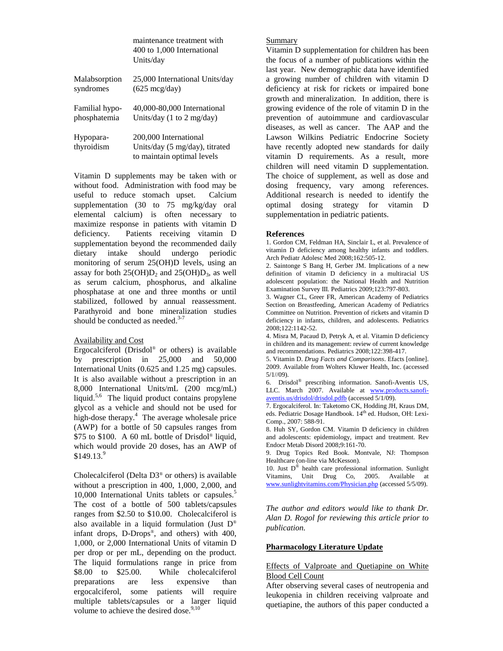|                         | maintenance treatment with<br>400 to 1,000 International<br>Units/day                 |
|-------------------------|---------------------------------------------------------------------------------------|
| Malabsorption           | 25,000 International Units/day                                                        |
| syndromes               | $(625 \text{ mcg/day})$                                                               |
| Familial hypo-          | 40,000-80,000 International                                                           |
| phosphatemia            | Units/day (1 to 2 mg/day)                                                             |
| Hypopara-<br>thyroidism | 200,000 International<br>Units/day (5 mg/day), titrated<br>to maintain optimal levels |

Vitamin D supplements may be taken with or without food. Administration with food may be useful to reduce stomach upset. Calcium supplementation (30 to 75 mg/kg/day oral elemental calcium) is often necessary to maximize response in patients with vitamin D deficiency. Patients receiving vitamin D supplementation beyond the recommended daily dietary intake should undergo periodic monitoring of serum 25(OH)D levels, using an assay for both  $25(OH)D_2$  and  $25(OH)D_3$ , as well as serum calcium, phosphorus, and alkaline phosphatase at one and three months or until stabilized, followed by annual reassessment. Parathyroid and bone mineralization studies should be conducted as needed. $3-7$ 

#### Availability and Cost

Ergocalciferol (Drisdol® or others) is available by prescription in 25,000 and 50,000 International Units (0.625 and 1.25 mg) capsules. It is also available without a prescription in an 8,000 International Units/mL (200 mcg/mL) liquid.<sup>5,6</sup> The liquid product contains propylene glycol as a vehicle and should not be used for high-dose therapy.<sup>4</sup> The average wholesale price (AWP) for a bottle of 50 capsules ranges from \$75 to \$100. A 60 mL bottle of Drisdol® liquid, which would provide 20 doses, has an AWP of  $$149.13.<sup>9</sup>$ 

Cholecalciferol (Delta D3® or others) is available without a prescription in 400, 1,000, 2,000, and 10,000 International Units tablets or capsules.<sup>5</sup> The cost of a bottle of 500 tablets/capsules ranges from \$2.50 to \$10.00. Cholecalciferol is also available in a liquid formulation (Just D® infant drops, D-Drops®, and others) with 400, 1,000, or 2,000 International Units of vitamin D per drop or per mL, depending on the product. The liquid formulations range in price from \$8.00 to \$25.00. While cholecalciferol preparations are less expensive than ergocalciferol, some patients will require multiple tablets/capsules or a larger liquid volume to achieve the desired dose.<sup>9,10</sup>

#### Summary

Vitamin D supplementation for children has been the focus of a number of publications within the last year. New demographic data have identified a growing number of children with vitamin D deficiency at risk for rickets or impaired bone growth and mineralization. In addition, there is growing evidence of the role of vitamin D in the prevention of autoimmune and cardiovascular diseases, as well as cancer. The AAP and the Lawson Wilkins Pediatric Endocrine Society have recently adopted new standards for daily vitamin D requirements. As a result, more children will need vitamin D supplementation. The choice of supplement, as well as dose and dosing frequency, vary among references. Additional research is needed to identify the optimal dosing strategy for vitamin D supplementation in pediatric patients.

#### **References**

1. Gordon CM, Feldman HA, Sinclair L, et al. Prevalence of vitamin D deficiency among healthy infants and toddlers. Arch Pediatr Adolesc Med 2008;162:505-12.

2. Saintonge S Bang H, Gerber JM. Implications of a new definition of vitamin D deficiency in a multiracial US adolescent population: the National Health and Nutrition Examination Survey III. Pediatrics 2009;123:797-803.

3. Wagner CL, Greer FR, American Academy of Pediatrics Section on Breastfeeding, American Academy of Pediatrics Committee on Nutrition. Prevention of rickets and vitamin D deficiency in infants, children, and adolescents. Pediatrics 2008;122:1142-52.

4. Misra M, Pacaud D, Petryk A, et al. Vitamin D deficiency in children and its management: review of current knowledge and recommendations. Pediatrics 2008;122:398-417.

5. Vitamin D. *Drug Facts and Comparisons*. Efacts [online]. 2009. Available from Wolters Kluwer Health, Inc. (accessed 5/1//09).

6. Drisdol® prescribing information. Sanofi-Aventis US, LLC. March 2007. Available at www.products.sanofiaventis.us/drisdol/drisdol.pdfb (accessed 5/1/09).

7. Ergocalciferol. In: Taketomo CK, Hodding JH, Kraus DM, eds. Pediatric Dosage Handbook. 14<sup>th</sup> ed. Hudson, OH: Lexi-Comp., 2007: 588-91.

8. Huh SY, Gordon CM. Vitamin D deficiency in children and adolescents: epidemiology, impact and treatment. Rev Endocr Metab Disord 2008;9:161-70.

9. Drug Topics Red Book. Montvale, NJ: Thompson Healthcare (on-line via McKesson).

10. Just  $D^{\omega}$  health care professional information. Sunlight Vitamins, Unit Drug Co, 2005. Available at www.sunlightvitamins.com/Physician.php (accessed 5/5/09).

*The author and editors would like to thank Dr. Alan D. Rogol for reviewing this article prior to publication.*

#### **Pharmacology Literature Update**

### Effects of Valproate and Quetiapine on White Blood Cell Count

After observing several cases of neutropenia and leukopenia in children receiving valproate and quetiapine, the authors of this paper conducted a